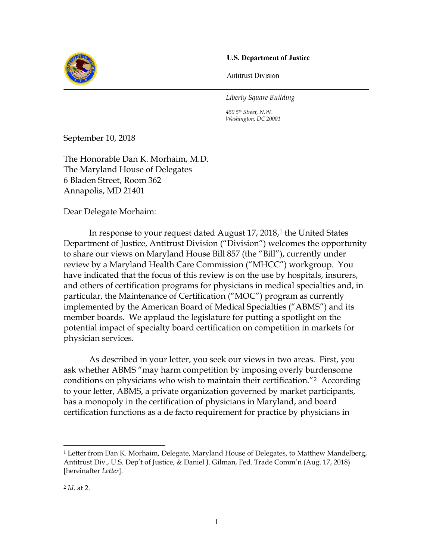### **U.S. Department of Justice**



**Antitrust Division** 

*Liberty Square Building*

*450 5th Street, N.W. Washington, DC 20001*

September 10, 2018

The Honorable Dan K. Morhaim, M.D. The Maryland House of Delegates 6 Bladen Street, Room 362 Annapolis, MD 21401

Dear Delegate Morhaim:

In response to your request dated August 17, 2018,<sup>1</sup> the United States Department of Justice, Antitrust Division ("Division") welcomes the opportunity to share our views on Maryland House Bill 857 (the "Bill"), currently under review by a Maryland Health Care Commission ("MHCC") workgroup. You have indicated that the focus of this review is on the use by hospitals, insurers, and others of certification programs for physicians in medical specialties and, in particular, the Maintenance of Certification ("MOC") program as currently implemented by the American Board of Medical Specialties ("ABMS") and its member boards. We applaud the legislature for putting a spotlight on the potential impact of specialty board certification on competition in markets for physician services.

As described in your letter, you seek our views in two areas. First, you ask whether ABMS "may harm competition by imposing overly burdensome conditions on physicians who wish to maintain their certification."2 According to your letter, ABMS, a private organization governed by market participants, has a monopoly in the certification of physicians in Maryland, and board certification functions as a de facto requirement for practice by physicians in

<sup>&</sup>lt;sup>1</sup> Letter from Dan K. Morhaim, Delegate, Maryland House of Delegates, to Matthew Mandelberg, Antitrust Div., U.S. Dep't of Justice, & Daniel J. Gilman, Fed. Trade Comm'n (Aug. 17, 2018) [hereinafter *Letter*].

<sup>2</sup> *Id.* at 2.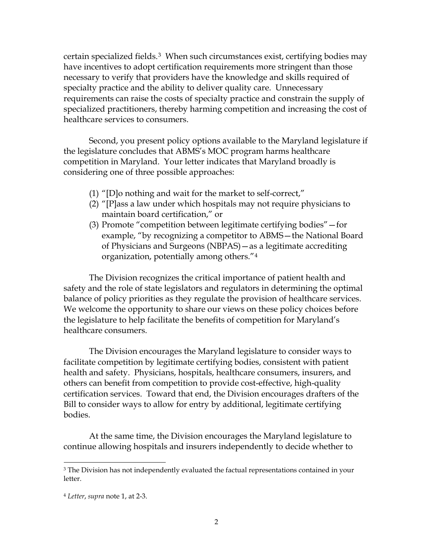certain specialized fields.3 When such circumstances exist, certifying bodies may have incentives to adopt certification requirements more stringent than those necessary to verify that providers have the knowledge and skills required of specialty practice and the ability to deliver quality care. Unnecessary requirements can raise the costs of specialty practice and constrain the supply of specialized practitioners, thereby harming competition and increasing the cost of healthcare services to consumers.

Second, you present policy options available to the Maryland legislature if the legislature concludes that ABMS's MOC program harms healthcare competition in Maryland. Your letter indicates that Maryland broadly is considering one of three possible approaches:

- (1) "[D]o nothing and wait for the market to self-correct,"
- (2) "[P]ass a law under which hospitals may not require physicians to maintain board certification," or
- (3) Promote "competition between legitimate certifying bodies"—for example, "by recognizing a competitor to ABMS—the National Board of Physicians and Surgeons (NBPAS)—as a legitimate accrediting organization, potentially among others."4

The Division recognizes the critical importance of patient health and safety and the role of state legislators and regulators in determining the optimal balance of policy priorities as they regulate the provision of healthcare services. We welcome the opportunity to share our views on these policy choices before the legislature to help facilitate the benefits of competition for Maryland's healthcare consumers.

The Division encourages the Maryland legislature to consider ways to facilitate competition by legitimate certifying bodies, consistent with patient health and safety. Physicians, hospitals, healthcare consumers, insurers, and others can benefit from competition to provide cost-effective, high-quality certification services. Toward that end, the Division encourages drafters of the Bill to consider ways to allow for entry by additional, legitimate certifying bodies.

At the same time, the Division encourages the Maryland legislature to continue allowing hospitals and insurers independently to decide whether to

<sup>&</sup>lt;sup>3</sup> The Division has not independently evaluated the factual representations contained in your letter.

<sup>4</sup>*Letter*, *supra* note 1, at 2-3.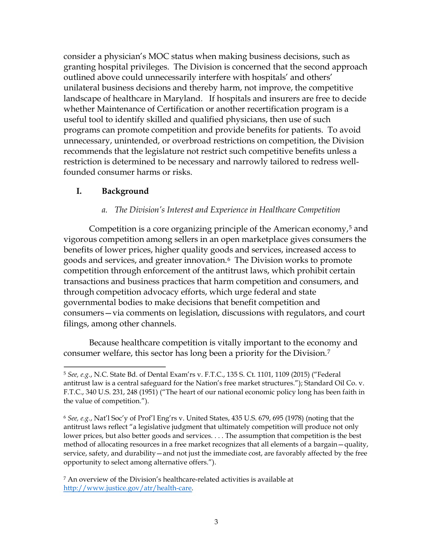consider a physician's MOC status when making business decisions, such as granting hospital privileges. The Division is concerned that the second approach outlined above could unnecessarily interfere with hospitals' and others' unilateral business decisions and thereby harm, not improve, the competitive landscape of healthcare in Maryland. If hospitals and insurers are free to decide whether Maintenance of Certification or another recertification program is a useful tool to identify skilled and qualified physicians, then use of such programs can promote competition and provide benefits for patients. To avoid unnecessary, unintended, or overbroad restrictions on competition, the Division recommends that the legislature not restrict such competitive benefits unless a restriction is determined to be necessary and narrowly tailored to redress wellfounded consumer harms or risks.

# **I. Background**

## *a. The Division's Interest and Experience in Healthcare Competition*

Competition is a core organizing principle of the American economy, $5$  and vigorous competition among sellers in an open marketplace gives consumers the benefits of lower prices, higher quality goods and services, increased access to goods and services, and greater innovation.6 The Division works to promote competition through enforcement of the antitrust laws, which prohibit certain transactions and business practices that harm competition and consumers, and through competition advocacy efforts, which urge federal and state governmental bodies to make decisions that benefit competition and consumers—via comments on legislation, discussions with regulators, and court filings, among other channels.

Because healthcare competition is vitally important to the economy and consumer welfare, this sector has long been a priority for the Division.7

<sup>5</sup>*See, e.g.*, N.C. State Bd. of Dental Exam'rs v. F.T.C., 135 S. Ct. 1101, 1109 (2015) ("Federal antitrust law is a central safeguard for the Nation's free market structures."); Standard Oil Co. v. F.T.C., 340 U.S. 231, 248 (1951) ("The heart of our national economic policy long has been faith in the value of competition.").

<sup>6</sup>*See, e.g.*, Nat'l Soc'y of Prof'l Eng'rs v. United States, 435 U.S. 679, 695 (1978) (noting that the antitrust laws reflect "a legislative judgment that ultimately competition will produce not only lower prices, but also better goods and services. . . . The assumption that competition is the best method of allocating resources in a free market recognizes that all elements of a bargain—quality, service, safety, and durability—and not just the immediate cost, are favorably affected by the free opportunity to select among alternative offers.").

<sup>7</sup> An overview of the Division's healthcare-related activities is available at http://www.justice.gov/atr/health-care.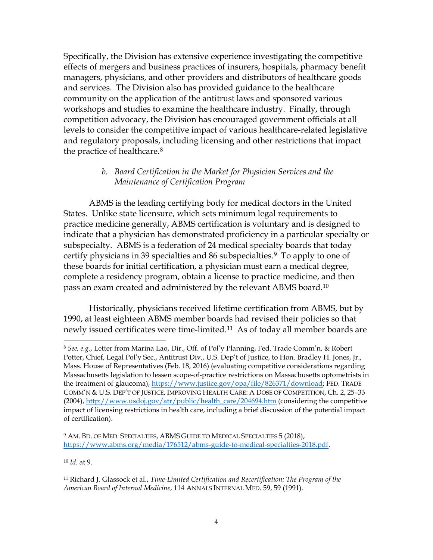Specifically, the Division has extensive experience investigating the competitive effects of mergers and business practices of insurers, hospitals, pharmacy benefit managers, physicians, and other providers and distributors of healthcare goods and services. The Division also has provided guidance to the healthcare community on the application of the antitrust laws and sponsored various workshops and studies to examine the healthcare industry. Finally, through competition advocacy, the Division has encouraged government officials at all levels to consider the competitive impact of various healthcare-related legislative and regulatory proposals, including licensing and other restrictions that impact the practice of healthcare.8

# *b. Board Certification in the Market for Physician Services and the Maintenance of Certification Program*

ABMS is the leading certifying body for medical doctors in the United States. Unlike state licensure, which sets minimum legal requirements to practice medicine generally, ABMS certification is voluntary and is designed to indicate that a physician has demonstrated proficiency in a particular specialty or subspecialty. ABMS is a federation of 24 medical specialty boards that today certify physicians in 39 specialties and 86 subspecialties.9 To apply to one of these boards for initial certification, a physician must earn a medical degree, complete a residency program, obtain a license to practice medicine, and then pass an exam created and administered by the relevant ABMS board.10

Historically, physicians received lifetime certification from ABMS, but by 1990, at least eighteen ABMS member boards had revised their policies so that newly issued certificates were time-limited.<sup>11</sup> As of today all member boards are

<sup>10</sup>*Id.* at 9.

<sup>8</sup>*See, e.g.*, Letter from Marina Lao, Dir., Off. of Pol'y Planning, Fed. Trade Comm'n, & Robert Potter, Chief, Legal Pol'y Sec., Antitrust Div., U.S. Dep't of Justice, to Hon. Bradley H. Jones, Jr., Mass. House of Representatives (Feb. 18, 2016) (evaluating competitive considerations regarding Massachusetts legislation to lessen scope-of-practice restrictions on Massachusetts optometrists in the treatment of glaucoma), https://www.justice.gov/opa/file/826371/download; FED. TRADE COMM'N & U.S. DEP'T OF JUSTICE, IMPROVING HEALTH CARE: A DOSE OF COMPETITION, Ch. 2, 25–33  $(2004)$ , http://www.usdoj.gov/atr/public/health\_care/204694.htm (considering the competitive impact of licensing restrictions in health care, including a brief discussion of the potential impact of certification).

<sup>&</sup>lt;sup>9</sup> AM. BD. OF MED. SPECIALTIES, ABMS GUIDE TO MEDICAL SPECIALTIES 5 (2018), https://www.abms.org/media/176512/abms-guide-to-medical-specialties-2018.pdf.

<sup>11</sup> Richard J. Glassock et al., *Time-Limited Certification and Recertification: The Program of the American Board of Internal Medicine*, 114 ANNALS INTERNAL MED. 59, 59 (1991).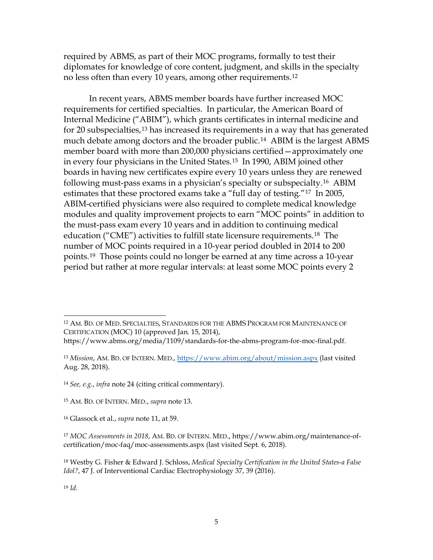required by ABMS, as part of their MOC programs, formally to test their diplomates for knowledge of core content, judgment, and skills in the specialty no less often than every 10 years, among other requirements.<sup>12</sup>

In recent years, ABMS member boards have further increased MOC requirements for certified specialties. In particular, the American Board of Internal Medicine ("ABIM"), which grants certificates in internal medicine and for 20 subspecialties,<sup>13</sup> has increased its requirements in a way that has generated much debate among doctors and the broader public.<sup>14</sup> ABIM is the largest ABMS member board with more than 200,000 physicians certified—approximately one in every four physicians in the United States.15 In 1990, ABIM joined other boards in having new certificates expire every 10 years unless they are renewed following must-pass exams in a physician's specialty or subspecialty.16 ABIM estimates that these proctored exams take a "full day of testing."17 In 2005, ABIM-certified physicians were also required to complete medical knowledge modules and quality improvement projects to earn "MOC points" in addition to the must-pass exam every 10 years and in addition to continuing medical education ("CME") activities to fulfill state licensure requirements.18 The number of MOC points required in a 10-year period doubled in 2014 to 200 points.19 Those points could no longer be earned at any time across a 10-year period but rather at more regular intervals: at least some MOC points every 2

12 AM. BD. OF MED. SPECIALTIES, STANDARDS FOR THE ABMS PROGRAM FOR MAINTENANCE OF CERTIFICATION (MOC) 10 (approved Jan. 15, 2014),

<sup>13</sup>*Mission*, AM. BD. OF INTERN. MED., https://www.abim.org/about/mission.aspx (last visited Aug. 28, 2018).

<sup>14</sup>*See, e.g.*, *infra* note 24 (citing critical commentary).

<sup>19</sup>*Id.* 

https://www.abms.org/media/1109/standards-for-the-abms-program-for-moc-final.pdf.

<sup>15</sup> AM. BD. OF INTERN. MED., *supra* note 13.

<sup>16</sup> Glassock et al., *supra* note 11, at 59.

<sup>17</sup> *MOC Assessments in 2018*, AM. BD. OF INTERN. MED., https://www.abim.org/maintenance-ofcertification/moc-faq/moc-assessments.aspx (last visited Sept. 6, 2018).

<sup>18</sup> Westby G. Fisher & Edward J. Schloss, *Medical Specialty Certification in the United States-a False Idol?*, 47 J. of Interventional Cardiac Electrophysiology 37, 39 (2016).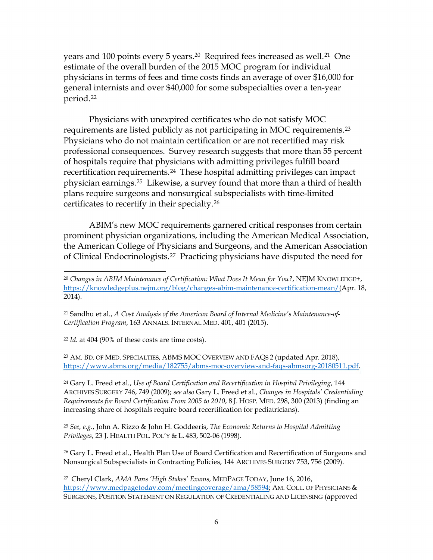years and 100 points every 5 years.<sup>20</sup> Required fees increased as well.<sup>21</sup> One estimate of the overall burden of the 2015 MOC program for individual physicians in terms of fees and time costs finds an average of over \$16,000 for general internists and over \$40,000 for some subspecialties over a ten-year period.22

Physicians with unexpired certificates who do not satisfy MOC requirements are listed publicly as not participating in MOC requirements.23 Physicians who do not maintain certification or are not recertified may risk professional consequences. Survey research suggests that more than 55 percent of hospitals require that physicians with admitting privileges fulfill board recertification requirements.<sup>24</sup> These hospital admitting privileges can impact physician earnings.25 Likewise, a survey found that more than a third of health plans require surgeons and nonsurgical subspecialists with time-limited certificates to recertify in their specialty.26

ABIM's new MOC requirements garnered critical responses from certain prominent physician organizations, including the American Medical Association, the American College of Physicians and Surgeons, and the American Association of Clinical Endocrinologists.27 Practicing physicians have disputed the need for

<sup>22</sup>*Id.* at 404 (90% of these costs are time costs).

<sup>23</sup> AM. BD. OF MED. SPECIALTIES, ABMS MOC OVERVIEW AND FAQS 2 (updated Apr. 2018), https://www.abms.org/media/182755/abms-moc-overview-and-faqs-abmsorg-20180511.pdf.

24 Gary L. Freed et al., *Use of Board Certification and Recertification in Hospital Privileging*, 144 ARCHIVES SURGERY 746, 749 (2009); *see also* Gary L. Freed et al., *Changes in Hospitals' Credentialing Requirements for Board Certification From 2005 to 2010*, 8 J. HOSP. MED. 298, 300 (2013) (finding an increasing share of hospitals require board recertification for pediatricians).

<sup>25</sup>*See, e.g.*, John A. Rizzo & John H. Goddeeris, *The Economic Returns to Hospital Admitting Privileges*, 23 J. HEALTH POL. POL'Y & L. 483, 502-06 (1998).

<sup>26</sup> Gary L. Freed et al., Health Plan Use of Board Certification and Recertification of Surgeons and Nonsurgical Subspecialists in Contracting Policies, 144 ARCHIVES SURGERY 753, 756 (2009).

<sup>20</sup>*Changes in ABIM Maintenance of Certification: What Does It Mean for You?*, NEJM KNOWLEDGE+, https://knowledgeplus.nejm.org/blog/changes-abim-maintenance-certification-mean/(Apr. 18, 2014).

<sup>21</sup> Sandhu et al., *A Cost Analysis of the American Board of Internal Medicine's Maintenance-of-Certification Program*, 163 ANNALS. INTERNAL MED. 401, 401 (2015).

<sup>27</sup> Cheryl Clark, *AMA Pans 'High Stakes' Exams*, MEDPAGE TODAY, June 16, 2016, https://www.medpagetoday.com/meetingcoverage/ama/58594; AM. COLL. OF PHYSICIANS & SURGEONS, POSITION STATEMENT ON REGULATION OF CREDENTIALING AND LICENSING (approved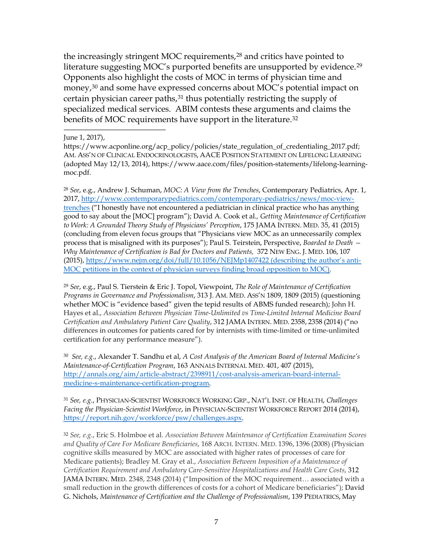the increasingly stringent MOC requirements,28 and critics have pointed to literature suggesting MOC's purported benefits are unsupported by evidence.29 Opponents also highlight the costs of MOC in terms of physician time and money,<sup>30</sup> and some have expressed concerns about MOC's potential impact on certain physician career paths,<sup>31</sup> thus potentially restricting the supply of specialized medical services. ABIM contests these arguments and claims the benefits of MOC requirements have support in the literature.32

#### June 1, 2017),

https://www.acponline.org/acp\_policy/policies/state\_regulation\_of\_credentialing\_2017.pdf; AM. ASS'N OF CLINICAL ENDOCRINOLOGISTS, AACE POSITION STATEMENT ON LIFELONG LEARNING (adopted May 12/13, 2014), https://www.aace.com/files/position-statements/lifelong-learningmoc.pdf.

<sup>28</sup>*See*, e.g., Andrew J. Schuman, *MOC: A View from the Trenches*, Contemporary Pediatrics, Apr. 1, 2017, http://www.contemporarypediatrics.com/contemporary-pediatrics/news/moc-viewtrenches ("I honestly have not encountered a pediatrician in clinical practice who has anything good to say about the [MOC] program"); David A. Cook et al.*, Getting Maintenance of Certification to Work: A Grounded Theory Study of Physicians' Perception*, 175 JAMA INTERN. MED. 35, 41 (2015) (concluding from eleven focus groups that "Physicians view MOC as an unnecessarily complex process that is misaligned with its purposes"); Paul S. Teirstein, Perspective, *Boarded to Death — Why Maintenance of Certification is Bad for Doctors and Patients,* 372 NEW ENG. J. MED. 106, 107 (2015), https://www.nejm.org/doi/full/10.1056/NEJMp1407422 (describing the author's anti-MOC petitions in the context of physician surveys finding broad opposition to MOC).

<sup>29</sup>*See*, e.g., Paul S. Tierstein & Eric J. Topol, Viewpoint, *The Role of Maintenance of Certification Programs in Governance and Professionalism*, 313 J. AM. MED. ASS'N 1809, 1809 (2015) (questioning whether MOC is "evidence based" given the tepid results of ABMS funded research); John H. Hayes et al., *Association Between Physician Time-Unlimited vs Time-Limited Internal Medicine Board Certification and Ambulatory Patient Care Quality*, 312 JAMA INTERN. MED. 2358, 2358 (2014) ("no differences in outcomes for patients cared for by internists with time-limited or time-unlimited certification for any performance measure").

<sup>30</sup>*See, e.g.*, Alexander T. Sandhu et al, *A Cost Analysis of the American Board of Internal Medicine's Maintenance-of-Certification Program*, 163 ANNALS INTERNAL MED. 401, 407 (2015), http://annals.org/aim/article-abstract/2398911/cost-analysis-american-board-internalmedicine-s-maintenance-certification-program.

<sup>31</sup>*See, e.g.*, PHYSICIAN-SCIENTIST WORKFORCE WORKING GRP., NAT'L INST. OF HEALTH, *Challenges Facing the Physician-Scientist Workforce*, in PHYSICIAN-SCIENTIST WORKFORCE REPORT 2014 (2014), https://report.nih.gov/workforce/psw/challenges.aspx.

<sup>32</sup>*See, e.g.*, Eric S. Holmboe et al*. Association Between Maintenance of Certification Examination Scores and Quality of Care For Medicare Beneficiaries*, 168 ARCH. INTERN. MED. 1396, 1396 (2008) (Physician cognitive skills measured by MOC are associated with higher rates of processes of care for Medicare patients); Bradley M. Gray et al., *Association Between Imposition of a Maintenance of Certification Requirement and Ambulatory Care-Sensitive Hospitalizations and Health Care Costs*, 312 JAMA INTERN. MED. 2348, 2348 (2014) ("Imposition of the MOC requirement… associated with a small reduction in the growth differences of costs for a cohort of Medicare beneficiaries"); David G. Nichols, *Maintenance of Certification and the Challenge of Professionalism*, 139 PEDIATRICS, May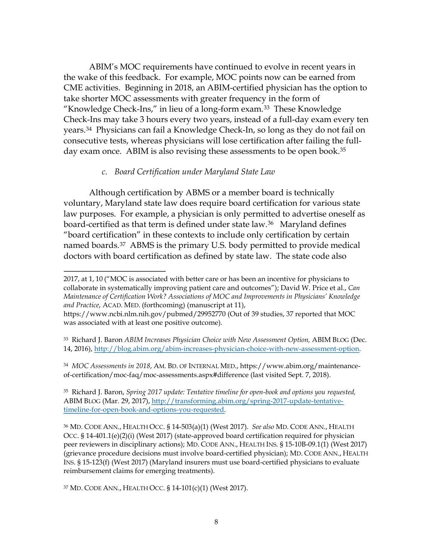ABIM's MOC requirements have continued to evolve in recent years in the wake of this feedback. For example, MOC points now can be earned from CME activities. Beginning in 2018, an ABIM-certified physician has the option to take shorter MOC assessments with greater frequency in the form of "Knowledge Check-Ins," in lieu of a long-form exam.33 These Knowledge Check-Ins may take 3 hours every two years, instead of a full-day exam every ten years.34 Physicians can fail a Knowledge Check-In, so long as they do not fail on consecutive tests, whereas physicians will lose certification after failing the fullday exam once. ABIM is also revising these assessments to be open book.<sup>35</sup>

### *c. Board Certification under Maryland State Law*

Although certification by ABMS or a member board is technically voluntary, Maryland state law does require board certification for various state law purposes. For example, a physician is only permitted to advertise oneself as board-certified as that term is defined under state law.36 Maryland defines "board certification" in these contexts to include only certification by certain named boards.37 ABMS is the primary U.S. body permitted to provide medical doctors with board certification as defined by state law. The state code also

37 MD. CODE ANN., HEALTH OCC. § 14-101(c)(1) (West 2017).

<sup>2017,</sup> at 1, 10 ("MOC is associated with better care or has been an incentive for physicians to collaborate in systematically improving patient care and outcomes"); David W. Price et al., *Can Maintenance of Certification Work? Associations of MOC and Improvements in Physicians' Knowledge and Practice*, ACAD. MED. (forthcoming) (manuscript at 11),

https://www.ncbi.nlm.nih.gov/pubmed/29952770 (Out of 39 studies, 37 reported that MOC was associated with at least one positive outcome).

<sup>33</sup> Richard J. Baron *ABIM Increases Physician Choice with New Assessment Option,* ABIM BLOG (Dec. 14, 2016), http://blog.abim.org/abim-increases-physician-choice-with-new-assessment-option.

<sup>34</sup> *MOC Assessments in 2018*, AM. BD. OF INTERNAL MED., https://www.abim.org/maintenanceof-certification/moc-faq/moc-assessments.aspx#difference (last visited Sept. 7, 2018).

<sup>35</sup> Richard J. Baron, *Spring 2017 update: Tentative timeline for open-book and options you requested,*  ABIM BLOG (Mar. 29, 2017), http://transforming.abim.org/spring-2017-update-tentativetimeline-for-open-book-and-options-you-requested.

<sup>36</sup> MD. CODE ANN., HEALTH OCC. § 14-503(a)(1) (West 2017). *See also* MD. CODE ANN., HEALTH OCC. § 14-401.1(e)(2)(i) (West 2017) (state-approved board certification required for physician peer reviewers in disciplinary actions); MD. CODE ANN., HEALTH INS. § 15-10B-09.1(1) (West 2017) (grievance procedure decisions must involve board-certified physician); MD. CODE ANN., HEALTH INS. § 15-123(f) (West 2017) (Maryland insurers must use board-certified physicians to evaluate reimbursement claims for emerging treatments).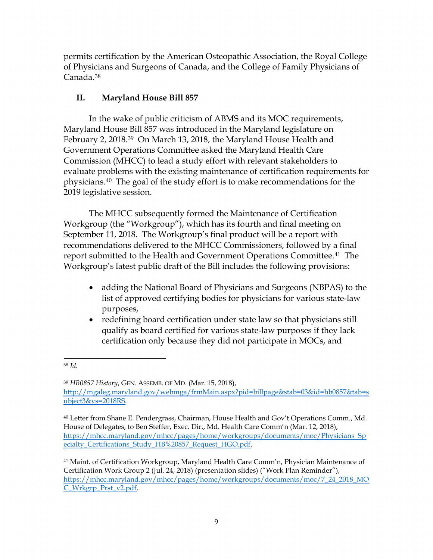permits certification by the American Osteopathic Association, the Royal College of Physicians and Surgeons of Canada, and the College of Family Physicians of Canada.38

# **II. Maryland House Bill 857**

In the wake of public criticism of ABMS and its MOC requirements, Maryland House Bill 857 was introduced in the Maryland legislature on February 2, 2018.<sup>39</sup> On March 13, 2018, the Maryland House Health and Government Operations Committee asked the Maryland Health Care Commission (MHCC) to lead a study effort with relevant stakeholders to evaluate problems with the existing maintenance of certification requirements for physicians.40 The goal of the study effort is to make recommendations for the 2019 legislative session.

The MHCC subsequently formed the Maintenance of Certification Workgroup (the "Workgroup"), which has its fourth and final meeting on September 11, 2018. The Workgroup's final product will be a report with recommendations delivered to the MHCC Commissioners, followed by a final report submitted to the Health and Government Operations Committee.<sup>41</sup> The Workgroup's latest public draft of the Bill includes the following provisions:

- adding the National Board of Physicians and Surgeons (NBPAS) to the list of approved certifying bodies for physicians for various state-law purposes,
- redefining board certification under state law so that physicians still qualify as board certified for various state-law purposes if they lack certification only because they did not participate in MOCs, and

<sup>38</sup>*Id.* 

<sup>39</sup>*HB0857 History*, GEN. ASSEMB. OF MD. (Mar. 15, 2018), http://mgaleg.maryland.gov/webmga/frmMain.aspx?pid=billpage&stab=03&id=hb0857&tab=s ubject3&ys=2018RS.

<sup>40</sup> Letter from Shane E. Pendergrass, Chairman, House Health and Gov't Operations Comm., Md. House of Delegates, to Ben Steffer, Exec. Dir., Md. Health Care Comm'n (Mar. 12, 2018), https://mhcc.maryland.gov/mhcc/pages/home/workgroups/documents/moc/Physicians Sp ecialty\_Certifications\_Study\_HB%20857\_Request\_HGO.pdf.

<sup>41</sup> Maint. of Certification Workgroup, Maryland Health Care Comm'n, Physician Maintenance of Certification Work Group 2 (Jul. 24, 2018) (presentation slides) ("Work Plan Reminder"), https://mhcc.maryland.gov/mhcc/pages/home/workgroups/documents/moc/7\_24\_2018\_MO C\_Wrkgrp\_Prst\_v2.pdf.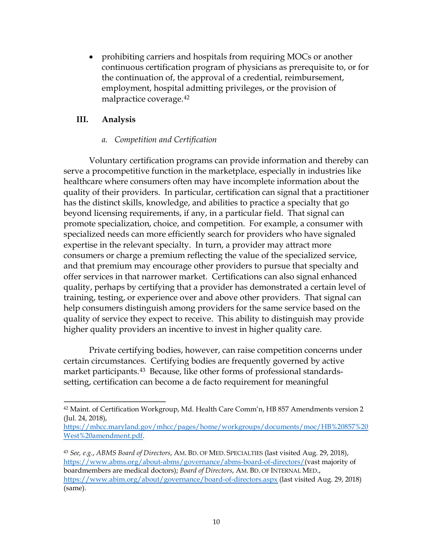• prohibiting carriers and hospitals from requiring MOCs or another continuous certification program of physicians as prerequisite to, or for the continuation of, the approval of a credential, reimbursement, employment, hospital admitting privileges, or the provision of malpractice coverage.42

# **III. Analysis**

## *a. Competition and Certification*

Voluntary certification programs can provide information and thereby can serve a procompetitive function in the marketplace, especially in industries like healthcare where consumers often may have incomplete information about the quality of their providers. In particular, certification can signal that a practitioner has the distinct skills, knowledge, and abilities to practice a specialty that go beyond licensing requirements, if any, in a particular field. That signal can promote specialization, choice, and competition. For example, a consumer with specialized needs can more efficiently search for providers who have signaled expertise in the relevant specialty. In turn, a provider may attract more consumers or charge a premium reflecting the value of the specialized service, and that premium may encourage other providers to pursue that specialty and offer services in that narrower market. Certifications can also signal enhanced quality, perhaps by certifying that a provider has demonstrated a certain level of training, testing, or experience over and above other providers. That signal can help consumers distinguish among providers for the same service based on the quality of service they expect to receive. This ability to distinguish may provide higher quality providers an incentive to invest in higher quality care.

Private certifying bodies, however, can raise competition concerns under certain circumstances. Certifying bodies are frequently governed by active market participants.<sup>43</sup> Because, like other forms of professional standardssetting, certification can become a de facto requirement for meaningful

<sup>&</sup>lt;sup>42</sup> Maint. of Certification Workgroup, Md. Health Care Comm'n, HB 857 Amendments version 2 (Jul. 24, 2018),

https://mhcc.maryland.gov/mhcc/pages/home/workgroups/documents/moc/HB%20857%20 West%20amendment.pdf.

<sup>43</sup>*See, e.g.*, *ABMS Board of Directors*, AM. BD. OF MED. SPECIALTIES (last visited Aug. 29, 2018), https://www.abms.org/about-abms/governance/abms-board-of-directors/(vast majority of boardmembers are medical doctors); *Board of Directors*, AM. BD. OF INTERNAL MED., https://www.abim.org/about/governance/board-of-directors.aspx (last visited Aug. 29, 2018) (same).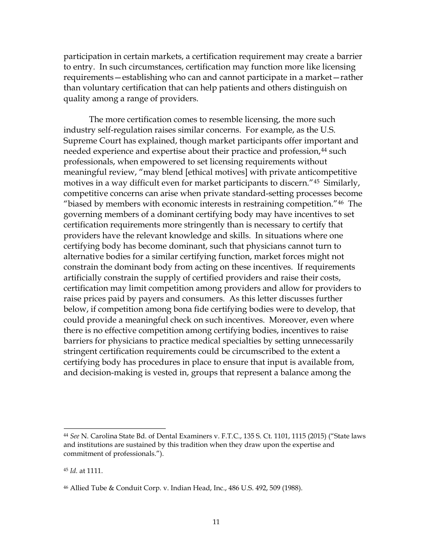participation in certain markets, a certification requirement may create a barrier to entry. In such circumstances, certification may function more like licensing requirements—establishing who can and cannot participate in a market—rather than voluntary certification that can help patients and others distinguish on quality among a range of providers.

The more certification comes to resemble licensing, the more such industry self-regulation raises similar concerns. For example, as the U.S. Supreme Court has explained, though market participants offer important and needed experience and expertise about their practice and profession,<sup>44</sup> such professionals, when empowered to set licensing requirements without meaningful review, "may blend [ethical motives] with private anticompetitive motives in a way difficult even for market participants to discern."45 Similarly, competitive concerns can arise when private standard-setting processes become "biased by members with economic interests in restraining competition."46 The governing members of a dominant certifying body may have incentives to set certification requirements more stringently than is necessary to certify that providers have the relevant knowledge and skills. In situations where one certifying body has become dominant, such that physicians cannot turn to alternative bodies for a similar certifying function, market forces might not constrain the dominant body from acting on these incentives. If requirements artificially constrain the supply of certified providers and raise their costs, certification may limit competition among providers and allow for providers to raise prices paid by payers and consumers. As this letter discusses further below, if competition among bona fide certifying bodies were to develop, that could provide a meaningful check on such incentives. Moreover, even where there is no effective competition among certifying bodies, incentives to raise barriers for physicians to practice medical specialties by setting unnecessarily stringent certification requirements could be circumscribed to the extent a certifying body has procedures in place to ensure that input is available from, and decision-making is vested in, groups that represent a balance among the

<sup>44</sup>*See* N. Carolina State Bd. of Dental Examiners v. F.T.C., 135 S. Ct. 1101, 1115 (2015) ("State laws and institutions are sustained by this tradition when they draw upon the expertise and commitment of professionals.").

<sup>45</sup>*Id.* at 1111.

<sup>46</sup> Allied Tube & Conduit Corp. v. Indian Head, Inc., 486 U.S. 492, 509 (1988).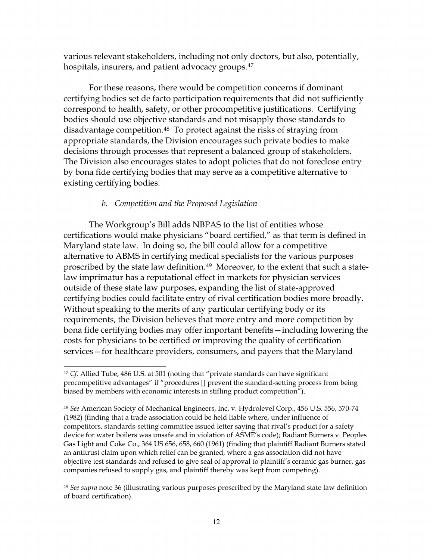various relevant stakeholders, including not only doctors, but also, potentially, hospitals, insurers, and patient advocacy groups.<sup>47</sup>

For these reasons, there would be competition concerns if dominant certifying bodies set de facto participation requirements that did not sufficiently correspond to health, safety, or other procompetitive justifications. Certifying bodies should use objective standards and not misapply those standards to disadvantage competition.48 To protect against the risks of straying from appropriate standards, the Division encourages such private bodies to make decisions through processes that represent a balanced group of stakeholders. The Division also encourages states to adopt policies that do not foreclose entry by bona fide certifying bodies that may serve as a competitive alternative to existing certifying bodies.

# *b. Competition and the Proposed Legislation*

The Workgroup's Bill adds NBPAS to the list of entities whose certifications would make physicians "board certified," as that term is defined in Maryland state law. In doing so, the bill could allow for a competitive alternative to ABMS in certifying medical specialists for the various purposes proscribed by the state law definition.49 Moreover, to the extent that such a statelaw imprimatur has a reputational effect in markets for physician services outside of these state law purposes, expanding the list of state-approved certifying bodies could facilitate entry of rival certification bodies more broadly. Without speaking to the merits of any particular certifying body or its requirements, the Division believes that more entry and more competition by bona fide certifying bodies may offer important benefits—including lowering the costs for physicians to be certified or improving the quality of certification services—for healthcare providers, consumers, and payers that the Maryland

<sup>47</sup>*Cf.* Allied Tube, 486 U.S. at 501 (noting that "private standards can have significant procompetitive advantages" if "procedures [] prevent the standard-setting process from being biased by members with economic interests in stifling product competition").

<sup>48</sup>*See* American Society of Mechanical Engineers, Inc. v. Hydrolevel Corp., 456 U.S. 556, 570-74 (1982) (finding that a trade association could be held liable where, under influence of competitors, standards-setting committee issued letter saying that rival's product for a safety device for water boilers was unsafe and in violation of ASME's code); Radiant Burners v. Peoples Gas Light and Coke Co., 364 US 656, 658, 660 (1961) (finding that plaintiff Radiant Burners stated an antitrust claim upon which relief can be granted, where a gas association did not have objective test standards and refused to give seal of approval to plaintiff's ceramic gas burner, gas companies refused to supply gas, and plaintiff thereby was kept from competing).

<sup>49</sup>*See supra* note 36 (illustrating various purposes proscribed by the Maryland state law definition of board certification).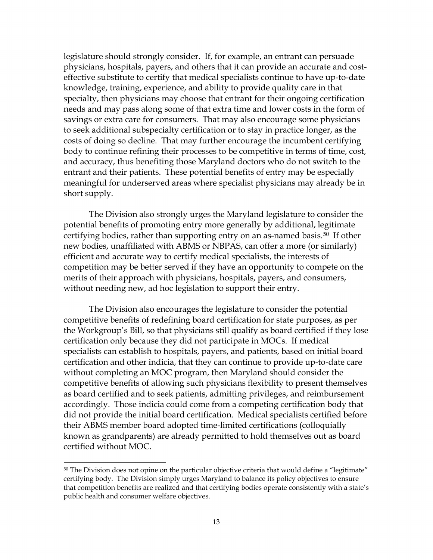legislature should strongly consider. If, for example, an entrant can persuade physicians, hospitals, payers, and others that it can provide an accurate and costeffective substitute to certify that medical specialists continue to have up-to-date knowledge, training, experience, and ability to provide quality care in that specialty, then physicians may choose that entrant for their ongoing certification needs and may pass along some of that extra time and lower costs in the form of savings or extra care for consumers. That may also encourage some physicians to seek additional subspecialty certification or to stay in practice longer, as the costs of doing so decline. That may further encourage the incumbent certifying body to continue refining their processes to be competitive in terms of time, cost, and accuracy, thus benefiting those Maryland doctors who do not switch to the entrant and their patients. These potential benefits of entry may be especially meaningful for underserved areas where specialist physicians may already be in short supply.

The Division also strongly urges the Maryland legislature to consider the potential benefits of promoting entry more generally by additional, legitimate certifying bodies, rather than supporting entry on an as-named basis.<sup>50</sup> If other new bodies, unaffiliated with ABMS or NBPAS, can offer a more (or similarly) efficient and accurate way to certify medical specialists, the interests of competition may be better served if they have an opportunity to compete on the merits of their approach with physicians, hospitals, payers, and consumers, without needing new, ad hoc legislation to support their entry.

The Division also encourages the legislature to consider the potential competitive benefits of redefining board certification for state purposes, as per the Workgroup's Bill, so that physicians still qualify as board certified if they lose certification only because they did not participate in MOCs. If medical specialists can establish to hospitals, payers, and patients, based on initial board certification and other indicia, that they can continue to provide up-to-date care without completing an MOC program, then Maryland should consider the competitive benefits of allowing such physicians flexibility to present themselves as board certified and to seek patients, admitting privileges, and reimbursement accordingly. Those indicia could come from a competing certification body that did not provide the initial board certification. Medical specialists certified before their ABMS member board adopted time-limited certifications (colloquially known as grandparents) are already permitted to hold themselves out as board certified without MOC.

 $50$  The Division does not opine on the particular objective criteria that would define a "legitimate" certifying body. The Division simply urges Maryland to balance its policy objectives to ensure that competition benefits are realized and that certifying bodies operate consistently with a state's public health and consumer welfare objectives.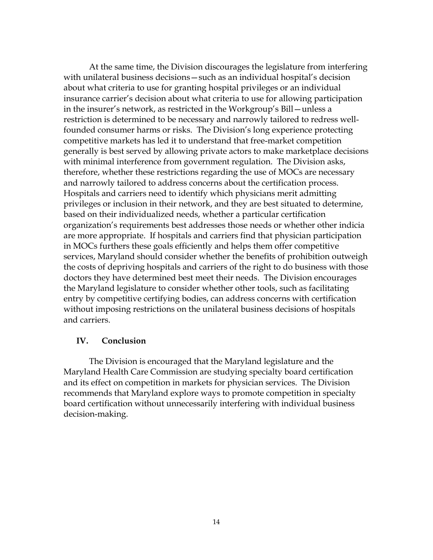At the same time, the Division discourages the legislature from interfering with unilateral business decisions—such as an individual hospital's decision about what criteria to use for granting hospital privileges or an individual insurance carrier's decision about what criteria to use for allowing participation in the insurer's network, as restricted in the Workgroup's Bill—unless a restriction is determined to be necessary and narrowly tailored to redress wellfounded consumer harms or risks. The Division's long experience protecting competitive markets has led it to understand that free-market competition generally is best served by allowing private actors to make marketplace decisions with minimal interference from government regulation. The Division asks, therefore, whether these restrictions regarding the use of MOCs are necessary and narrowly tailored to address concerns about the certification process. Hospitals and carriers need to identify which physicians merit admitting privileges or inclusion in their network, and they are best situated to determine, based on their individualized needs, whether a particular certification organization's requirements best addresses those needs or whether other indicia are more appropriate. If hospitals and carriers find that physician participation in MOCs furthers these goals efficiently and helps them offer competitive services, Maryland should consider whether the benefits of prohibition outweigh the costs of depriving hospitals and carriers of the right to do business with those doctors they have determined best meet their needs. The Division encourages the Maryland legislature to consider whether other tools, such as facilitating entry by competitive certifying bodies, can address concerns with certification without imposing restrictions on the unilateral business decisions of hospitals and carriers.

## **IV. Conclusion**

The Division is encouraged that the Maryland legislature and the Maryland Health Care Commission are studying specialty board certification and its effect on competition in markets for physician services. The Division recommends that Maryland explore ways to promote competition in specialty board certification without unnecessarily interfering with individual business decision-making.